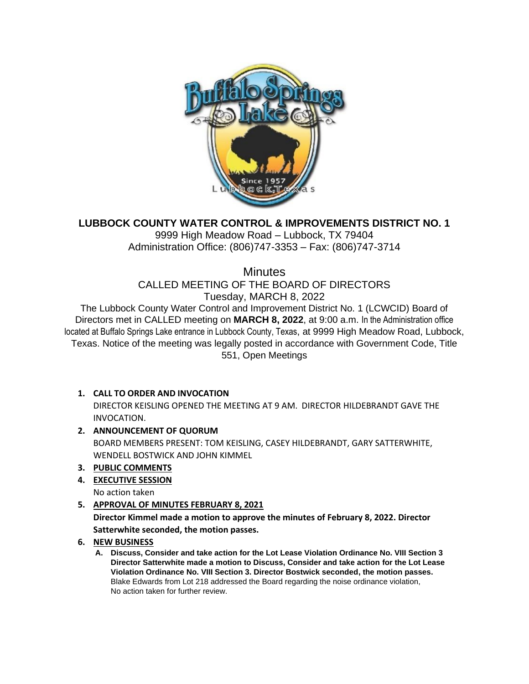

# **LUBBOCK COUNTY WATER CONTROL & IMPROVEMENTS DISTRICT NO. 1**

9999 High Meadow Road – Lubbock, TX 79404 Administration Office: (806)747-3353 – Fax: (806)747-3714

**Minutes** 

CALLED MEETING OF THE BOARD OF DIRECTORS Tuesday, MARCH 8, 2022

The Lubbock County Water Control and Improvement District No. 1 (LCWCID) Board of Directors met in CALLED meeting on **MARCH 8, 2022**, at 9:00 a.m. In the Administration office located at Buffalo Springs Lake entrance in Lubbock County, Texas, at 9999 High Meadow Road, Lubbock, Texas. Notice of the meeting was legally posted in accordance with Government Code, Title 551, Open Meetings

## **1. CALL TO ORDER AND INVOCATION**

DIRECTOR KEISLING OPENED THE MEETING AT 9 AM. DIRECTOR HILDEBRANDT GAVE THE INVOCATION.

## **2. ANNOUNCEMENT OF QUORUM**

BOARD MEMBERS PRESENT: TOM KEISLING, CASEY HILDEBRANDT, GARY SATTERWHITE, WENDELL BOSTWICK AND JOHN KIMMEL

## **3. PUBLIC COMMENTS**

**4. EXECUTIVE SESSION**

No action taken

## **5. APPROVAL OF MINUTES FEBRUARY 8, 2021**

**Director Kimmel made a motion to approve the minutes of February 8, 2022. Director Satterwhite seconded, the motion passes.**

## **6. NEW BUSINESS**

**A. Discuss, Consider and take action for the Lot Lease Violation Ordinance No. VIII Section 3 Director Satterwhite made a motion to Discuss, Consider and take action for the Lot Lease Violation Ordinance No. VIII Section 3. Director Bostwick seconded, the motion passes.** Blake Edwards from Lot 218 addressed the Board regarding the noise ordinance violation, No action taken for further review.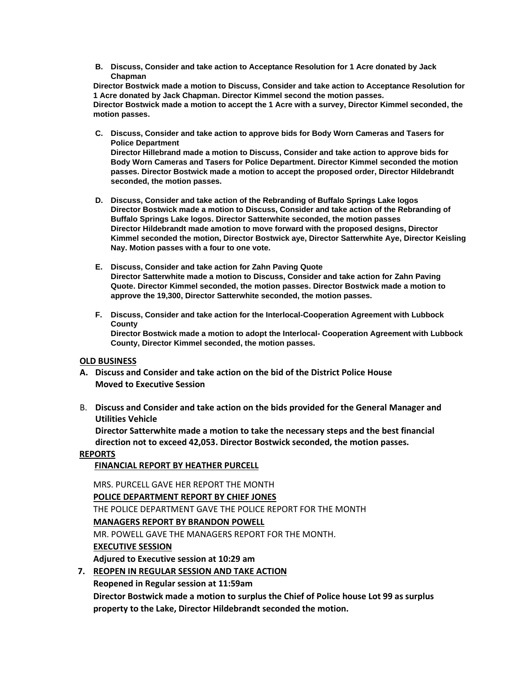**B. Discuss, Consider and take action to Acceptance Resolution for 1 Acre donated by Jack Chapman**

**Director Bostwick made a motion to Discuss, Consider and take action to Acceptance Resolution for 1 Acre donated by Jack Chapman. Director Kimmel second the motion passes. Director Bostwick made a motion to accept the 1 Acre with a survey, Director Kimmel seconded, the motion passes.** 

- **C. Discuss, Consider and take action to approve bids for Body Worn Cameras and Tasers for Police Department Director Hillebrand made a motion to Discuss, Consider and take action to approve bids for Body Worn Cameras and Tasers for Police Department. Director Kimmel seconded the motion passes. Director Bostwick made a motion to accept the proposed order, Director Hildebrandt seconded, the motion passes.**
- **D. Discuss, Consider and take action of the Rebranding of Buffalo Springs Lake logos Director Bostwick made a motion to Discuss, Consider and take action of the Rebranding of Buffalo Springs Lake logos. Director Satterwhite seconded, the motion passes Director Hildebrandt made amotion to move forward with the proposed designs, Director Kimmel seconded the motion, Director Bostwick aye, Director Satterwhite Aye, Director Keisling Nay. Motion passes with a four to one vote.**
- **E. Discuss, Consider and take action for Zahn Paving Quote Director Satterwhite made a motion to Discuss, Consider and take action for Zahn Paving Quote. Director Kimmel seconded, the motion passes. Director Bostwick made a motion to approve the 19,300, Director Satterwhite seconded, the motion passes.**
- **F. Discuss, Consider and take action for the Interlocal-Cooperation Agreement with Lubbock County Director Bostwick made a motion to adopt the Interlocal- Cooperation Agreement with Lubbock County, Director Kimmel seconded, the motion passes.**

### **OLD BUSINESS**

- **A. Discuss and Consider and take action on the bid of the District Police House Moved to Executive Session**
- B. **Discuss and Consider and take action on the bids provided for the General Manager and Utilities Vehicle**

**Director Satterwhite made a motion to take the necessary steps and the best financial direction not to exceed 42,053. Director Bostwick seconded, the motion passes.**

#### **REPORTS**

 **FINANCIAL REPORT BY HEATHER PURCELL**

MRS. PURCELL GAVE HER REPORT THE MONTH **POLICE DEPARTMENT REPORT BY CHIEF JONES** THE POLICE DEPARTMENT GAVE THE POLICE REPORT FOR THE MONTH **MANAGERS REPORT BY BRANDON POWELL** MR. POWELL GAVE THE MANAGERS REPORT FOR THE MONTH. **EXECUTIVE SESSION Adjured to Executive session at 10:29 am 7. REOPEN IN REGULAR SESSION AND TAKE ACTION**

**Reopened in Regular session at 11:59am**

**Director Bostwick made a motion to surplus the Chief of Police house Lot 99 as surplus property to the Lake, Director Hildebrandt seconded the motion.**